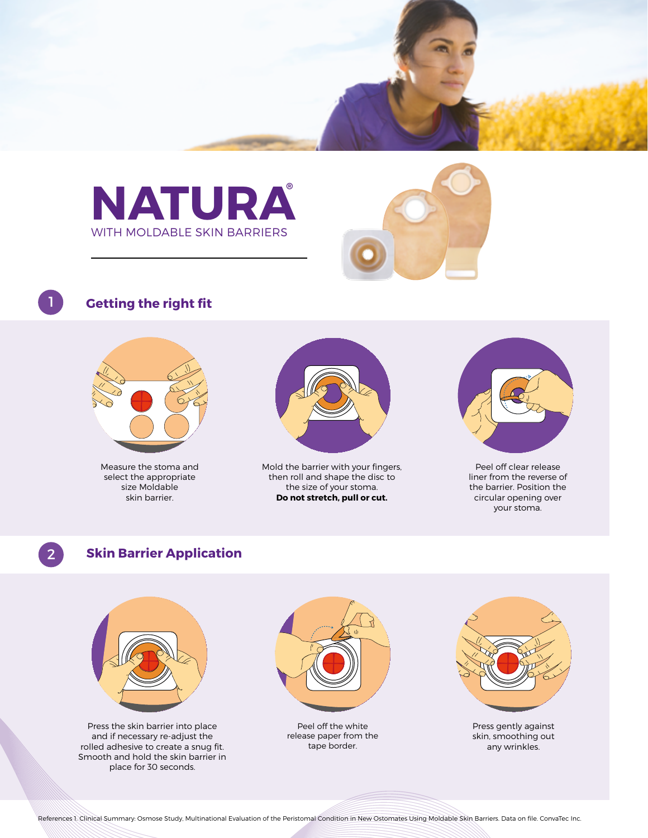



# **Getting the right fit**



Measure the stoma and select the appropriate size Moldable skin barrier.



Mold the barrier with your fingers, then roll and shape the disc to the size of your stoma. **Do not stretch, pull or cut.**



Peel off clear release liner from the reverse of the barrier. Position the circular opening over your stoma.

### 2 **Skin Barrier Application**



Press the skin barrier into place and if necessary re-adjust the rolled adhesive to create a snug fit. Smooth and hold the skin barrier in place for 30 seconds.



Peel off the white release paper from the tape border.



Press gently against skin, smoothing out any wrinkles.